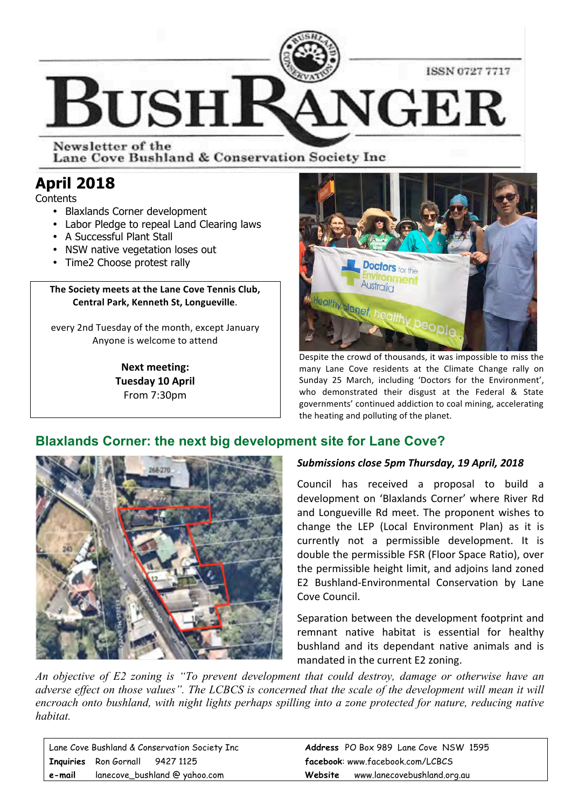

Newsletter of the Lane Cove Bushland & Conservation Society Inc

# **April 2018**

**Contents** 

- Blaxlands Corner development
- Labor Pledge to repeal Land Clearing laws
- A Successful Plant Stall
- NSW native vegetation loses out
- Time2 Choose protest rally

#### The Society meets at the Lane Cove Tennis Club, **Central Park, Kenneth St, Longueville.**

every 2nd Tuesday of the month, except January Anyone is welcome to attend

> **Next meeting: Tuesday 10 April** From 7:30pm



Despite the crowd of thousands, it was impossible to miss the many Lane Cove residents at the Climate Change rally on Sunday 25 March, including 'Doctors for the Environment', who demonstrated their disgust at the Federal & State governments' continued addiction to coal mining, accelerating the heating and polluting of the planet.

## **Blaxlands Corner: the next big development site for Lane Cove?**



#### Submissions close 5pm Thursday, 19 April, 2018

Council has received a proposal to build a development on 'Blaxlands Corner' where River Rd and Longueville Rd meet. The proponent wishes to change the LEP (Local Environment Plan) as it is currently not a permissible development. It is double the permissible FSR (Floor Space Ratio), over the permissible height limit, and adjoins land zoned E2 Bushland-Environmental Conservation by Lane Cove Council.

Separation between the development footprint and remnant native habitat is essential for healthy bushland and its dependant native animals and is mandated in the current E2 zoning.

*An objective of E2 zoning is "To prevent development that could destroy, damage or otherwise have an adverse effect on those values". The LCBCS is concerned that the scale of the development will mean it will encroach onto bushland, with night lights perhaps spilling into a zone protected for nature, reducing native habitat.* 

|        | Lane Cove Bushland & Conservation Society Inc | <b>Address</b> PO Box 989 Lane Cove NSW 1595 |
|--------|-----------------------------------------------|----------------------------------------------|
|        | Inquiries Ron Gornall 9427 1125               | facebook: www.facebook.com/LCBCS             |
| e-mail | lanecove_bushland @ yahoo.com                 | www.lanecovebushland.org.au<br>Website       |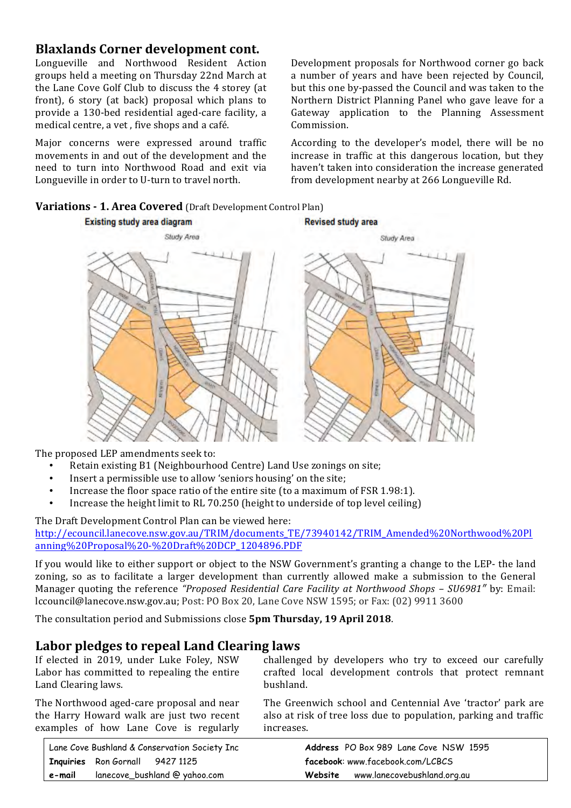## **Blaxlands Corner development cont.**

Longueville and Northwood Resident Action groups held a meeting on Thursday 22nd March at the Lane Cove Golf Club to discuss the 4 storey (at front),  $6$  story (at back) proposal which plans to provide a 130-bed residential aged-care facility, a medical centre, a vet, five shops and a café.

Major concerns were expressed around traffic movements in and out of the development and the need to turn into Northwood Road and exit via Longueville in order to U-turn to travel north.

Development proposals for Northwood corner go back a number of years and have been rejected by Council, but this one by-passed the Council and was taken to the Northern District Planning Panel who gave leave for a Gateway application to the Planning Assessment Commission. 

According to the developer's model, there will be no increase in traffic at this dangerous location, but they haven't taken into consideration the increase generated from development nearby at 266 Longueville Rd.





The proposed LEP amendments seek to:

- Retain existing B1 (Neighbourhood Centre) Land Use zonings on site;
- Insert a permissible use to allow 'seniors housing' on the site;
- Increase the floor space ratio of the entire site (to a maximum of FSR 1.98:1).
- Increase the height limit to RL 70.250 (height to underside of top level ceiling)

#### The Draft Development Control Plan can be viewed here:

http://ecouncil.lanecove.nsw.gov.au/TRIM/documents\_TE/73940142/TRIM\_Amended%20Northwood%20Pl anning%20Proposal%20-%20Draft%20DCP\_1204896.PDF 

If you would like to either support or object to the NSW Government's granting a change to the LEP- the land zoning, so as to facilitate a larger development than currently allowed make a submission to the General Manager quoting the reference *"Proposed Residential Care Facility at Northwood Shops - SU6981"* by: Email: lccouncil@lanecove.nsw.gov.au; Post: PO Box 20, Lane Cove NSW 1595; or Fax: (02) 9911 3600

The consultation period and Submissions close **5pm Thursday, 19 April 2018**.

## Labor pledges to repeal Land Clearing laws

| If elected in 2019, under Luke Foley, NSW   | challenged by developers who try to exceed our carefully         |
|---------------------------------------------|------------------------------------------------------------------|
| Labor has committed to repealing the entire | crafted local development controls that protect remnant          |
| Land Clearing laws.                         | bushland.                                                        |
| The Northwood aged-care proposal and near   | The Greenwich school and Centennial Ave 'tractor' park are       |
| the House Hougard uply are just two recent  | algo at right of tree logs due to nonulation porting and traffic |

the Harry Howard walk are just two recent examples of how Lane Cove is regularly

also at risk of tree loss due to population, parking and traffic increases.

|        | Lane Cove Bushland & Conservation Society Inc | <b>Address</b> PO Box 989 Lane Cove NSW 1595 |
|--------|-----------------------------------------------|----------------------------------------------|
|        | I Inquiries Ron Gornall 9427 1125             | facebook: www.facebook.com/LCBCS             |
| e-mail | lanecove_bushland @ yahoo.com                 | www.lanecovebushland.org.au<br>Website       |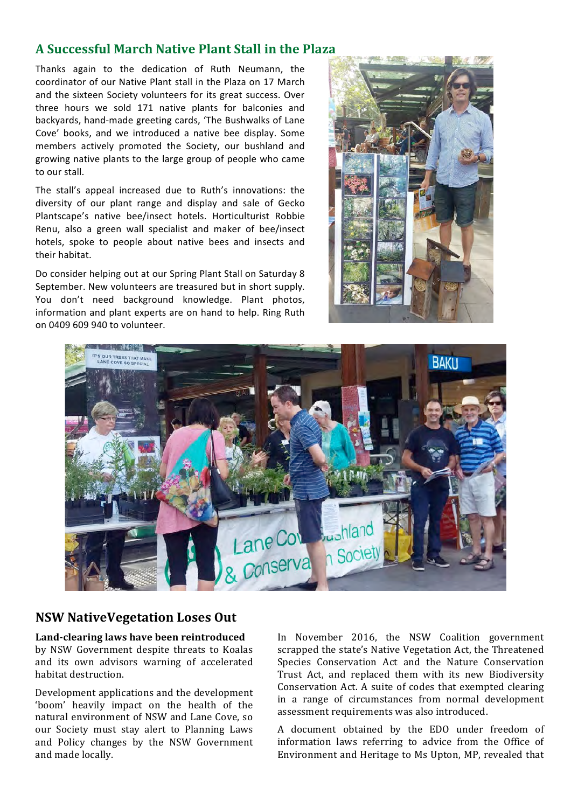### **A Successful March Native Plant Stall in the Plaza**

Thanks again to the dedication of Ruth Neumann, the coordinator of our Native Plant stall in the Plaza on 17 March and the sixteen Society volunteers for its great success. Over three hours we sold 171 native plants for balconies and backyards, hand-made greeting cards, 'The Bushwalks of Lane Cove' books, and we introduced a native bee display. Some members actively promoted the Society, our bushland and growing native plants to the large group of people who came to our stall.

The stall's appeal increased due to Ruth's innovations: the diversity of our plant range and display and sale of Gecko Plantscape's native bee/insect hotels. Horticulturist Robbie Renu, also a green wall specialist and maker of bee/insect hotels, spoke to people about native bees and insects and their habitat.

Do consider helping out at our Spring Plant Stall on Saturday 8 September. New volunteers are treasured but in short supply. You don't need background knowledge. Plant photos, information and plant experts are on hand to help. Ring Ruth on 0409 609 940 to volunteer.





### **NSW NativeVegetation Loses Out**

Land-clearing laws have been reintroduced by NSW Government despite threats to Koalas and its own advisors warning of accelerated habitat destruction.

Development applications and the development 'boom' heavily impact on the health of the natural environment of NSW and Lane Cove, so our Society must stay alert to Planning Laws and Policy changes by the NSW Government and made locally.

In November 2016, the NSW Coalition government scrapped the state's Native Vegetation Act, the Threatened Species Conservation Act and the Nature Conservation Trust Act, and replaced them with its new Biodiversity Conservation Act. A suite of codes that exempted clearing in a range of circumstances from normal development assessment requirements was also introduced.

A document obtained by the EDO under freedom of information laws referring to advice from the Office of Environment and Heritage to Ms Upton, MP, revealed that